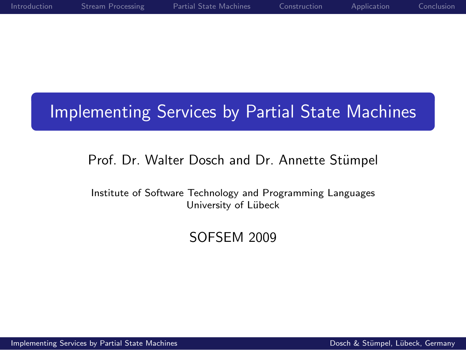| Introduction | Stream Processing | Partial State Machines | Construction | Application | Conclusion |
|--------------|-------------------|------------------------|--------------|-------------|------------|
|              |                   |                        |              |             |            |
|              |                   |                        |              |             |            |

# Implementing Services by Partial State Machines

### Prof. Dr. Walter Dosch and Dr. Annette Stümpel

Institute of Software Technology and Programming Languages University of Lübeck

### <span id="page-0-0"></span>SOFSEM 2009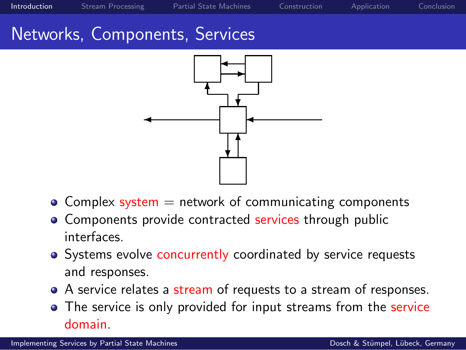[Introduction](#page-1-0) [Stream Processing](#page-5-0) [Partial State Machines](#page-8-0) [Construction](#page-10-0) [Application](#page-14-0) [Conclusion](#page-17-0)

## Networks, Components, Services



- Complex system  $=$  network of communicating components
- **Components provide contracted services through public** interfaces.
- Systems evolve concurrently coordinated by service requests and responses.
- A service relates a stream of requests to a stream of responses.
- <span id="page-1-0"></span>**•** The service is only provided for input streams from the service domain.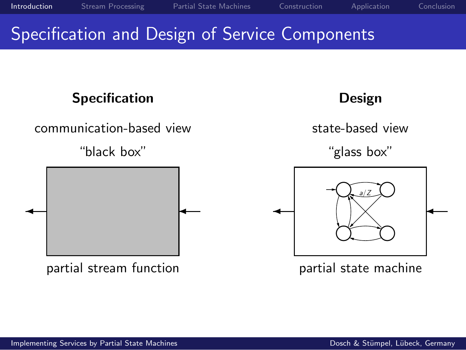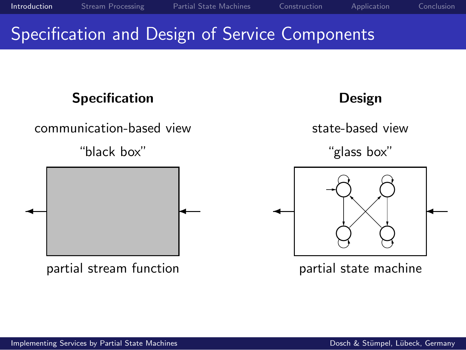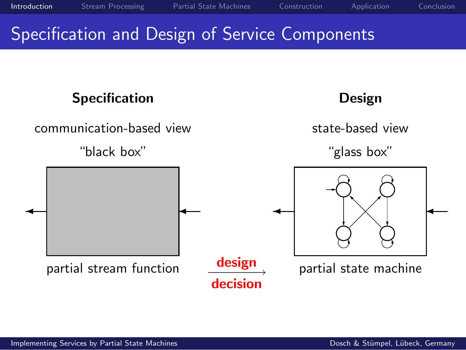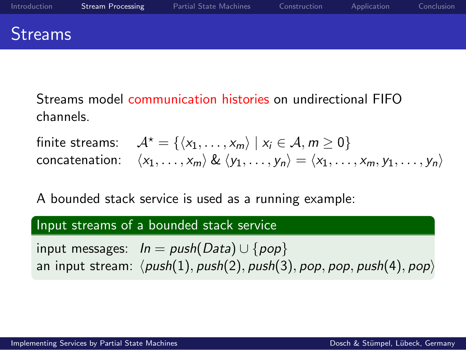| Introduction   | <b>Stream Processing</b> | Partial State Machines | Construction | Application | Conclusion |
|----------------|--------------------------|------------------------|--------------|-------------|------------|
| <b>Streams</b> |                          |                        |              |             |            |

Streams model communication histories on undirectional FIFO channels.

finite streams:  $\mathcal{A}^* = \{ \langle x_1, \ldots, x_m \rangle \mid x_i \in \mathcal{A}, m \geq 0 \}$ concatenation:  $\langle x_1, \ldots, x_m \rangle \& \langle y_1, \ldots, y_n \rangle = \langle x_1, \ldots, x_m, y_1, \ldots, y_n \rangle$ 

A bounded stack service is used as a running example:

#### Input streams of a bounded stack service

<span id="page-5-0"></span>input messages:  $In = push(Data) \cup \{pop\}$ an input stream:  $\langle push(1), push(2), push(3), pop, pop, push(4), pop \rangle$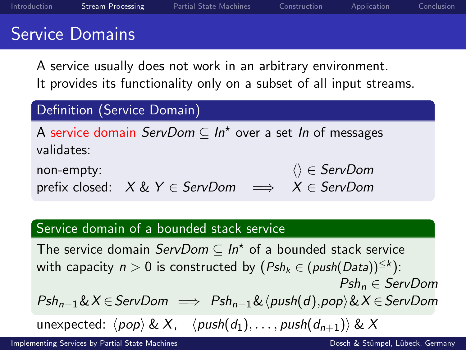| Introduction | <b>Stream Processing</b> | Partial State Machines | Construction | Application | Conclusion |
|--------------|--------------------------|------------------------|--------------|-------------|------------|
|              | <b>Service Domains</b>   |                        |              |             |            |
|              |                          |                        |              |             |            |

A service usually does not work in an arbitrary environment. It provides its functionality only on a subset of all input streams.

#### Definition (Service Domain)

A service domain  $ServDom \subseteq In^\star$  over a set In of messages validates: non-empty:  $\langle \rangle \in \text{ServDom}$ 

prefix closed:  $X \& Y \in \text{ServDom} \implies X \in \text{ServDom}$ 

#### Service domain of a bounded stack service

The service domain  $\mathit{ServDom} \subseteq In^\star$  of a bounded stack service with capacity  $n > 0$  is constructed by  $(Psh_k \in (push(Data))^{\leq k})$ :  $Psh_n \in$  ServDom  $Psh_{n-1}\&X \in ServDom \implies Psh_{n-1}\&\langle push(d),pop\rangle\&X \in ServDom$ unexpected:  $\langle pop \rangle \& X$ ,  $\langle push(d_1), \ldots, push(d_{n+1}) \rangle \& X$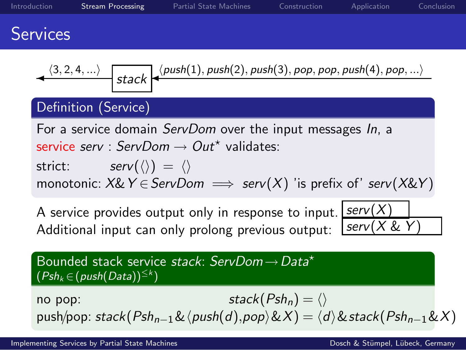| Introduction    | <b>Stream Processing</b>                           | Partial State Machines                                                                                                                                                                                                              | Construction                         | Application            | Conclusion |
|-----------------|----------------------------------------------------|-------------------------------------------------------------------------------------------------------------------------------------------------------------------------------------------------------------------------------------|--------------------------------------|------------------------|------------|
| <b>Services</b> |                                                    |                                                                                                                                                                                                                                     |                                      |                        |            |
|                 |                                                    | $\leftarrow$ (3, 2, 4, ) $\left  \frac{\sinh(1), \sinh(2), \sinh(3), \text{pop}, \text{pop}, \text{push}(4), \text{pop}, }{\sinh(1), \text{push}(2), \text{push}(3), \text{pop}, \text{pop}, \text{push}(4), \text{pop}, } \right $ |                                      |                        |            |
|                 | Definition (Service)                               |                                                                                                                                                                                                                                     |                                      |                        |            |
|                 | $serv(\langle\rangle) = \langle\rangle$<br>strict: | For a service domain <i>ServDom</i> over the input messages In, a<br>service serv : ServDom $\rightarrow$ Out* validates:<br>monotonic: $X \& Y \in \text{ServDom} \implies \text{serv}(X)$ 'is prefix of' serv( $X \& Y$ )         |                                      |                        |            |
|                 |                                                    | A service provides output only in response to input.<br>Additional input can only prolong previous output:                                                                                                                          |                                      | serv(X)<br>serv(X & Y) |            |
|                 | $(Psh_k \in (push(Data))^{\leq k})$                | Bounded stack service stack: ServDom → Data*                                                                                                                                                                                        |                                      |                        |            |
| no pop:         |                                                    | push/pop: stack( $Psh_{n-1}\&\langle push(d),pop\rangle\&X) = \langle d\rangle\&stack(Psh_{n-1}\&X)$                                                                                                                                | stack( $Psh_n$ ) = $\langle \rangle$ |                        |            |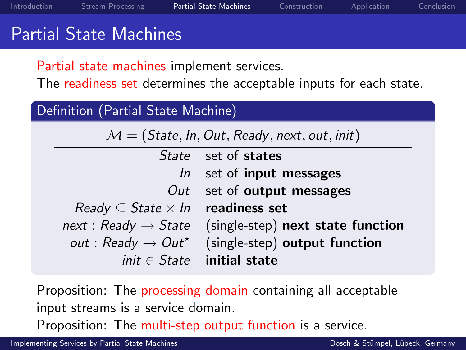| Introduction | Stream Processing             | Partial State Machines | Construction | Application | Conclusion |
|--------------|-------------------------------|------------------------|--------------|-------------|------------|
|              | <b>Partial State Machines</b> |                        |              |             |            |

Partial state machines implement services.

The readiness set determines the acceptable inputs for each state.

#### Definition (Partial State Machine)

| $\mathcal{M} = (\mathsf{State}, \mathsf{In}, \mathsf{Out}, \mathsf{Ready}, \mathsf{next}, \mathsf{out}, \mathsf{init})$ |                                   |  |  |  |
|-------------------------------------------------------------------------------------------------------------------------|-----------------------------------|--|--|--|
|                                                                                                                         | State set of states               |  |  |  |
|                                                                                                                         | $ln$ set of input messages        |  |  |  |
| Out                                                                                                                     | set of <b>output</b> messages     |  |  |  |
| Ready $\subseteq$ State $\times$ In readiness set                                                                       |                                   |  |  |  |
| $next:$ Ready $\rightarrow$ State                                                                                       | (single-step) next state function |  |  |  |
| out : Ready $\rightarrow$ Out <sup>*</sup>                                                                              | (single-step) output function     |  |  |  |
|                                                                                                                         | $init \in State$ initial state    |  |  |  |

Proposition: The **processing domain** containing all acceptable input streams is a service domain.

<span id="page-8-0"></span>Proposition: The multi-step output function is a service.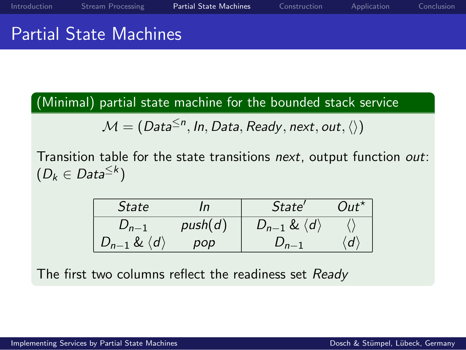(Minimal) partial state machine for the bounded stack service

 $\mathcal{M} = (\mathit{Data}^{\leq n}, \mathit{In}, \mathit{Data}, \mathit{Ready}, \mathit{next}, \mathit{out}, \langle \rangle)$ 

Transition table for the state transitions next, output function out:  $(D_k \in Data^{\leq k})$ 

| <i>State</i>                   | In      | State'                         | $Out^{\star}$       |
|--------------------------------|---------|--------------------------------|---------------------|
| $D_{n-1}$                      | push(d) | $D_{n-1} \& \langle d \rangle$ |                     |
| $D_{n-1} \& \langle d \rangle$ | pop     | $D_{n-1}$                      | $\langle d \rangle$ |

The first two columns reflect the readiness set Ready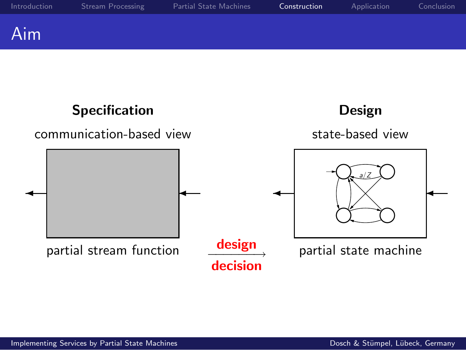

<span id="page-10-0"></span>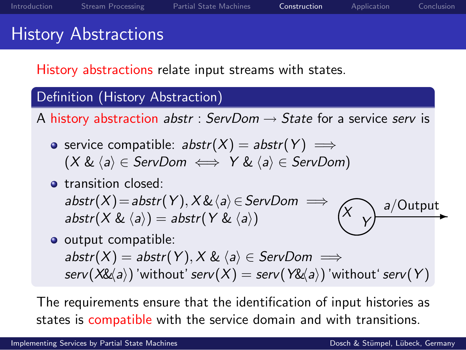History abstractions relate input streams with states.

### Definition (History Abstraction)

A history abstraction abstr : ServDom  $\rightarrow$  State for a service serv is

- service compatible:  $abstr(X) = abstr(Y)$  ⇒  $(X & \langle a \rangle \in \text{ServDom} \iff Y & \langle a \rangle \in \text{ServDom}$ )
- **o** transition closed:  $abstr(X)=abstr(Y),X\&\langle a\rangle\in ServDom \implies$ abstr(X &  $\langle a \rangle$ ) = abstr(Y &  $\langle a \rangle$ ) X Y a/Output
- output compatible:  $abstr(X) = abstr(Y), X & \langle a \rangle \in ServDom \implies$  $serv(X\&a)$  'without'  $serv(X) = serv(Y\&a)$  'without'  $serv(Y)$

The requirements ensure that the identification of input histories as states is compatible with the service domain and with transitions.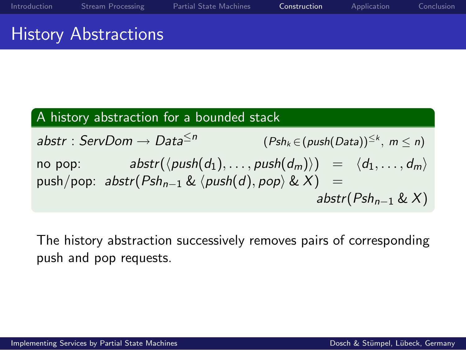| Introduction | Stream Processing                               | <b>Partial State Machines</b> | Construction | Application | Conclusion |
|--------------|-------------------------------------------------|-------------------------------|--------------|-------------|------------|
|              | and the matter of the Anti-Line and the company |                               |              |             |            |

### History Abstractions

### A history abstraction for a bounded stack

abstr : ServDom  $\rightarrow$  Data<sup> $\leq n$ </sup>  $(Psh_k \in (push(Data))^{\leq k}, m \leq n)$ no pop:  $abstr(\langle push(d_1), \ldots, push(d_m)\rangle) = \langle d_1, \ldots, d_m\rangle$ push/pop:  $abstr(Psh_{n-1} \& \langle push(d), pop \rangle \& X) =$ abstr( $Psh_{n-1} \& X$ )

The history abstraction successively removes pairs of corresponding push and pop requests.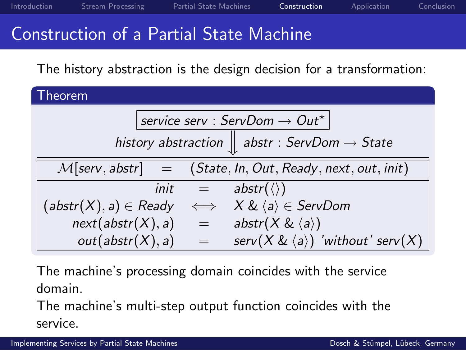| Introduction | Stream Processing | Partial State Machines | Construction | Application | Conclusion |
|--------------|-------------------|------------------------|--------------|-------------|------------|
|              |                   |                        |              |             |            |

### Construction of a Partial State Machine

The history abstraction is the design decision for a transformation:

| heorem.                                                    |                   |                                                                     |  |  |  |  |
|------------------------------------------------------------|-------------------|---------------------------------------------------------------------|--|--|--|--|
| service serv : ServDom $\rightarrow$ Out*                  |                   |                                                                     |  |  |  |  |
|                                                            |                   | history abstraction $\parallel$ abstr : ServDom $\rightarrow$ State |  |  |  |  |
| $\mathcal{M}[$ serv, abstr $]$<br>$\overline{\phantom{m}}$ |                   | (State, In, Out, Ready, next, out, init)                            |  |  |  |  |
| init                                                       | $\Leftrightarrow$ | $abstr(\langle \rangle)$                                            |  |  |  |  |
| $(\mathit{abstr}(X), a) \in \mathit{Ready}$                | $\iff$            | $X \& \langle a \rangle \in S$ erv $Dom$                            |  |  |  |  |
| next(abstr(X), a)                                          | æ,                | abstr( $X \& \langle a \rangle$ )                                   |  |  |  |  |
| out(abstr(X), a)                                           | $=$               | serv $(X \& \langle a \rangle)$ 'without' serv $(X)$                |  |  |  |  |

The machine's processing domain coincides with the service domain.

The machine's multi-step output function coincides with the service.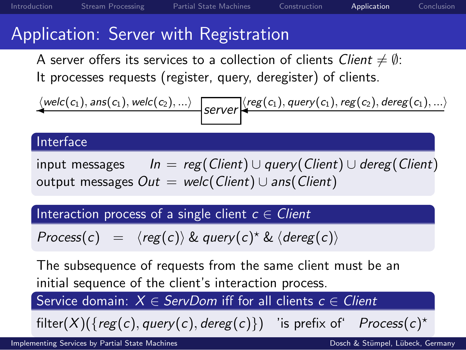## Application: Server with Registration

A server offers its services to a collection of clients Client  $\neq \emptyset$ : It processes requests (register, query, deregister) of clients.

$$
\underbrace{\langle \textit{welc}(c_1), \textit{ans}(c_1), \textit{welc}(c_2), ... \rangle}_{\textit{Server}} \underbrace{\langle \textit{reg}(c_1), \textit{query}(c_1), \textit{reg}(c_2), \textit{dereg}(c_1), ... \rangle}_{\textit{Server}}
$$

#### Interface

input messages  $In = reg(Client) \cup query(Client) \cup dereg(Client)$ output messages  $Out =$  welc(Client) ∪ ans(Client)

Interaction process of a single client  $c \in Client$ 

 $Process(c) = \langle reg(c) \rangle$  & query(c)<sup>\*</sup> &  $\langle dereg(c) \rangle$ 

The subsequence of requests from the same client must be an initial sequence of the client's interaction process.

Service domain:  $X \in$  ServDom iff for all clients  $c \in$  Client

<span id="page-14-0"></span>
$$
filter(X)(\{reg(c), query(c), dereg(c)\})
$$
 'is prefix of' Process(c)\*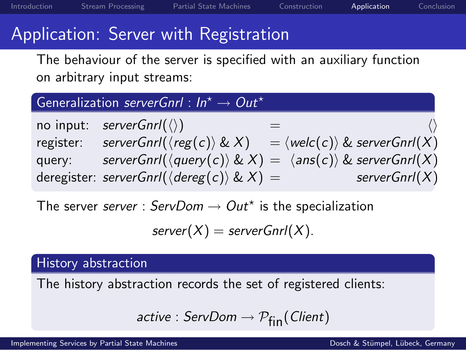# Application: Server with Registration

The behaviour of the server is specified with an auxiliary function on arbitrary input streams:

### Generalization serverGnrl :  $In^{\star} \rightarrow Out^{\star}$

no input:  $serverGnrl(\langle \rangle)$ register: serverGnrl( $\langle reg(c) \rangle \& X$ ) =  $\langle wel(c) \rangle \& serverGncl(X)$ query: serverGnrl( $\langle query(c) \rangle \& X$ ) =  $\langle ans(c) \rangle \& serverGnrl(X)$ deregister: serverGnrl( $\langle$ dereg(c)) & X) = serverGnrl(X)

The server *server* : ServDom  $\rightarrow$  Out<sup>\*</sup> is the specialization

$$
server(X) = serverGnrI(X).
$$

#### History abstraction

The history abstraction records the set of registered clients:

$$
\mathit{active} : \mathit{ServDom} \rightarrow \mathcal{P}_{fin}(\mathit{Client})
$$

[Implementing Services by Partial State Machines](#page-0-0) Dosch & Stümpel, Lübeck, Germany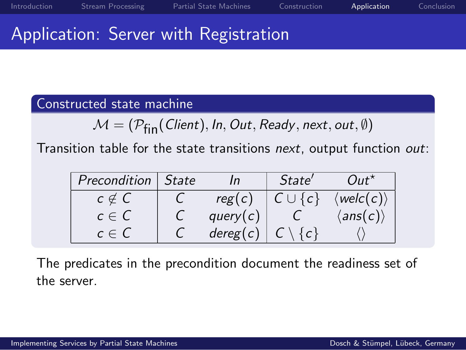### Application: Server with Registration

### Constructed state machine

$$
\mathcal{M} = (\mathcal{P}_{fin}(\mathit{Client}), \mathit{In}, \mathit{Out}, \mathit{Ready}, \mathit{next}, \mathit{out}, \emptyset)
$$

Transition table for the state transitions next, output function out:

| Precondition | <i>State</i> |             | <i>State'</i>  | $Out^{\star}$               |
|--------------|--------------|-------------|----------------|-----------------------------|
| $c \notin C$ |              | reg(c)      | $C \cup \{c\}$ | $\langle$ welc $(c)\rangle$ |
| $c \in C$    |              | query $(c)$ |                | $\langle ans(c)\rangle$     |
| $c \in C$    |              | degree(c)   |                |                             |

The predicates in the precondition document the readiness set of the server.